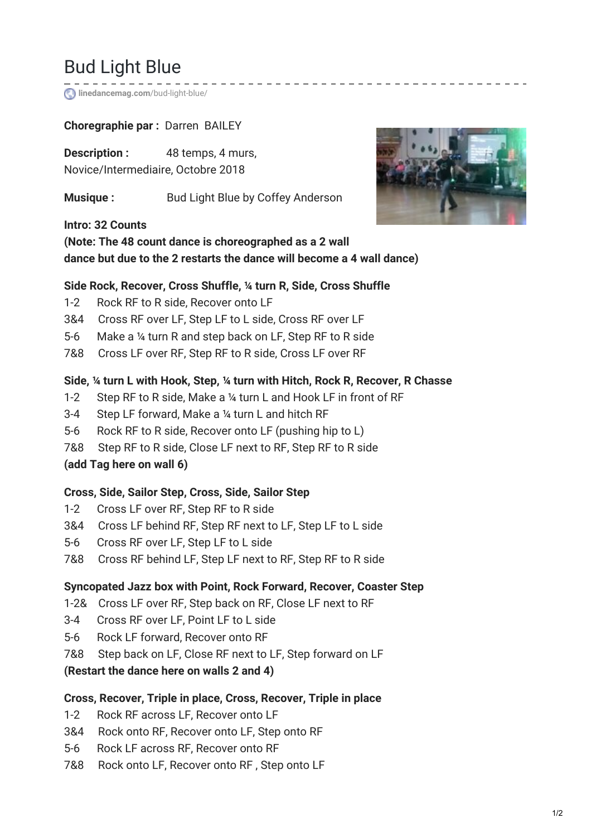# Bud Light Blue

**[linedancemag.com](https://www.linedancemag.com/bud-light-blue/)**/bud-light-blue/

## **Choregraphie par :** Darren BAILEY

**Description :** 48 temps, 4 murs, Novice/Intermediaire, Octobre 2018

**Musique :** Bud Light Blue by Coffey Anderson

**Intro: 32 Counts**



## **(Note: The 48 count dance is choreographed as a 2 wall dance but due to the 2 restarts the dance will become a 4 wall dance)**

#### **Side Rock, Recover, Cross Shuffle, ¼ turn R, Side, Cross Shuffle**

- 1-2 Rock RF to R side, Recover onto LF
- 3&4 Cross RF over LF, Step LF to L side, Cross RF over LF
- 5-6 Make a ¼ turn R and step back on LF, Step RF to R side
- 7&8 Cross LF over RF, Step RF to R side, Cross LF over RF

#### **Side, ¼ turn L with Hook, Step, ¼ turn with Hitch, Rock R, Recover, R Chasse**

- 1-2 Step RF to R side, Make a ¼ turn L and Hook LF in front of RF
- 3-4 Step LF forward, Make a ¼ turn L and hitch RF
- 5-6 Rock RF to R side, Recover onto LF (pushing hip to L)
- 7&8 Step RF to R side, Close LF next to RF, Step RF to R side
- **(add Tag here on wall 6)**

#### **Cross, Side, Sailor Step, Cross, Side, Sailor Step**

- 1-2 Cross LF over RF, Step RF to R side
- 3&4 Cross LF behind RF, Step RF next to LF, Step LF to L side
- 5-6 Cross RF over LF, Step LF to L side
- 7&8 Cross RF behind LF, Step LF next to RF, Step RF to R side

## **Syncopated Jazz box with Point, Rock Forward, Recover, Coaster Step**

- 1-2& Cross LF over RF, Step back on RF, Close LF next to RF
- 3-4 Cross RF over LF, Point LF to L side
- 5-6 Rock LF forward, Recover onto RF
- 7&8 Step back on LF, Close RF next to LF, Step forward on LF

#### **(Restart the dance here on walls 2 and 4)**

#### **Cross, Recover, Triple in place, Cross, Recover, Triple in place**

- 1-2 Rock RF across LF, Recover onto LF
- 3&4 Rock onto RF, Recover onto LF, Step onto RF
- 5-6 Rock LF across RF, Recover onto RF
- 7&8 Rock onto LF, Recover onto RF , Step onto LF